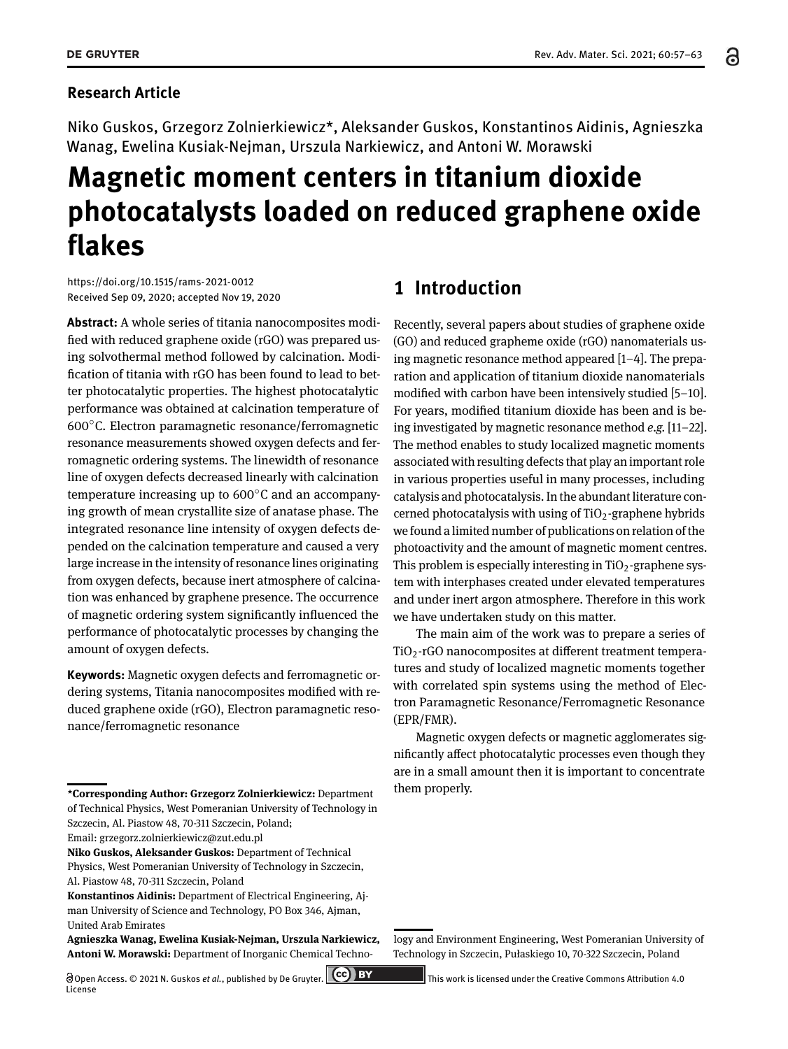Niko Guskos, Grzegorz Zolnierkiewicz\*, Aleksander Guskos, Konstantinos Aidinis, Agnieszka Wanag, Ewelina Kusiak-Nejman, Urszula Narkiewicz, and Antoni W. Morawski

# **Magnetic moment centers in titanium dioxide photocatalysts loaded on reduced graphene oxide flakes**

https://doi.org/10.1515/rams-2021-0012 Received Sep 09, 2020; accepted Nov 19, 2020

**Abstract:** A whole series of titania nanocomposites modified with reduced graphene oxide (rGO) was prepared using solvothermal method followed by calcination. Modification of titania with rGO has been found to lead to better photocatalytic properties. The highest photocatalytic performance was obtained at calcination temperature of 600∘C. Electron paramagnetic resonance/ferromagnetic resonance measurements showed oxygen defects and ferromagnetic ordering systems. The linewidth of resonance line of oxygen defects decreased linearly with calcination temperature increasing up to 600∘C and an accompanying growth of mean crystallite size of anatase phase. The integrated resonance line intensity of oxygen defects depended on the calcination temperature and caused a very large increase in the intensity of resonance lines originating from oxygen defects, because inert atmosphere of calcination was enhanced by graphene presence. The occurrence of magnetic ordering system significantly influenced the performance of photocatalytic processes by changing the amount of oxygen defects.

**Keywords:** Magnetic oxygen defects and ferromagnetic ordering systems, Titania nanocomposites modified with reduced graphene oxide (rGO), Electron paramagnetic resonance/ferromagnetic resonance

## **1 Introduction**

Recently, several papers about studies of graphene oxide (GO) and reduced grapheme oxide (rGO) nanomaterials using magnetic resonance method appeared  $[1-4]$ . The preparation and application of titanium dioxide nanomaterials modified with carbon have been intensively studied  $[5-10]$ . For years, modified titanium dioxide has been and is being investigated by magnetic resonance method *e.g.* [11-22]. The method enables to study localized magnetic moments associated with resulting defects that play an important role in various properties useful in many processes, including catalysis and photocatalysis. In the abundant literature concerned photocatalysis with using of  $TiO<sub>2</sub>$ -graphene hybrids we found a limited number of publications on relation of the photoactivity and the amount of magnetic moment centres. This problem is especially interesting in  $TiO<sub>2</sub>$ -graphene system with interphases created under elevated temperatures and under inert argon atmosphere. Therefore in this work we have undertaken study on this matter.

The main aim of the work was to prepare a series of  $TiO<sub>2</sub>$ -rGO nanocomposites at different treatment temperatures and study of localized magnetic moments together with correlated spin systems using the method of Electron Paramagnetic Resonance/Ferromagnetic Resonance (EPR/FMR).

Magnetic oxygen defects or magnetic agglomerates significantly affect photocatalytic processes even though they are in a small amount then it is important to concentrate them properly.

logy and Environment Engineering, West Pomeranian University of Technology in Szczecin, Pułaskiego 10, 70-322 Szczecin, Poland

**<sup>\*</sup>Corresponding Author: Grzegorz Zolnierkiewicz:** Department of Technical Physics, West Pomeranian University of Technology in Szczecin, Al. Piastow 48, 70-311 Szczecin, Poland;

Email: grzegorz.zolnierkiewicz@zut.edu.pl

**Niko Guskos, Aleksander Guskos:** Department of Technical Physics, West Pomeranian University of Technology in Szczecin, Al. Piastow 48, 70-311 Szczecin, Poland

**Konstantinos Aidinis:** Department of Electrical Engineering, Ajman University of Science and Technology, PO Box 346, Ajman, United Arab Emirates

**Agnieszka Wanag, Ewelina Kusiak-Nejman, Urszula Narkiewicz, Antoni W. Morawski:** Department of Inorganic Chemical Techno-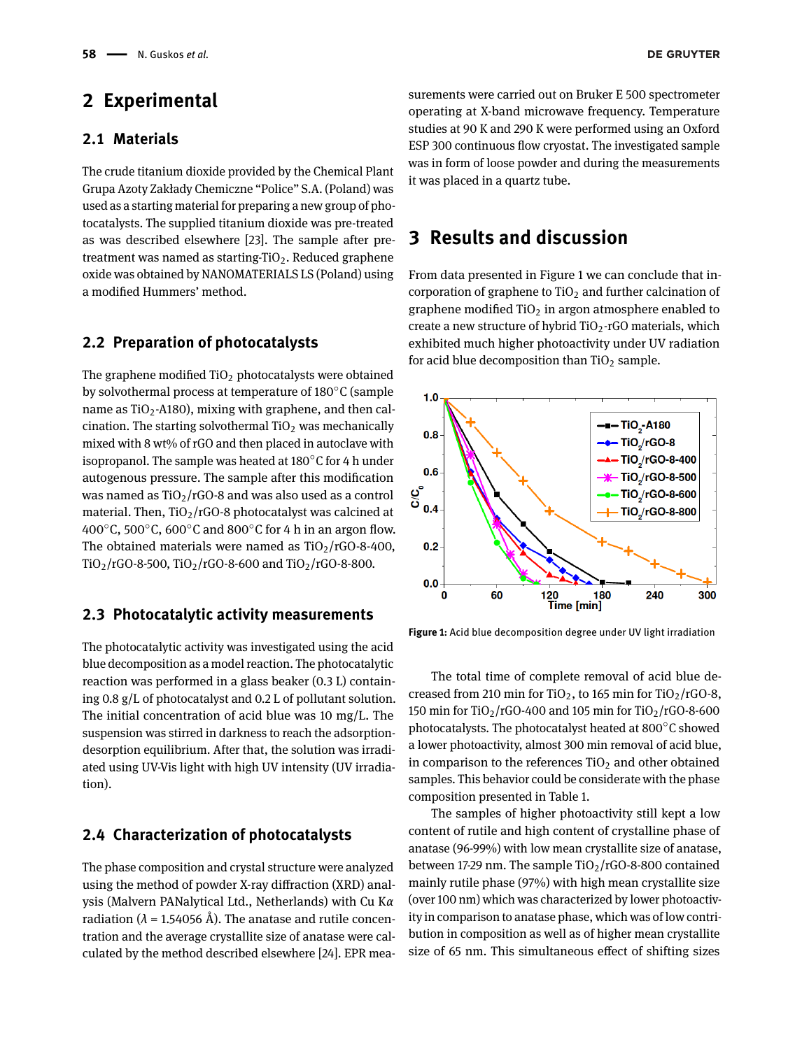## **2 Experimental**

#### **2.1 Materials**

The crude titanium dioxide provided by the Chemical Plant Grupa Azoty Zakłady Chemiczne "Police" S.A. (Poland) was used as a starting material for preparing a new group of photocatalysts. The supplied titanium dioxide was pre-treated as was described elsewhere [23]. The sample after pretreatment was named as starting- $TiO<sub>2</sub>$ . Reduced graphene oxide was obtained by NANOMATERIALS LS (Poland) using a modified Hummers' method.

#### **2.2 Preparation of photocatalysts**

The graphene modified  $TiO<sub>2</sub>$  photocatalysts were obtained by solvothermal process at temperature of 180∘C (sample name as TiO<sub>2</sub>-A180), mixing with graphene, and then calcination. The starting solvothermal  $TiO<sub>2</sub>$  was mechanically mixed with 8 wt% of rGO and then placed in autoclave with isopropanol. The sample was heated at 180∘C for 4 h under autogenous pressure. The sample after this modification was named as  $TiO<sub>2</sub>/rGO-8$  and was also used as a control material. Then,  $TiO<sub>2</sub>/rGO-8$  photocatalyst was calcined at 400∘C, 500∘C, 600∘C and 800∘C for 4 h in an argon flow. The obtained materials were named as  $TiO<sub>2</sub>/rGO-8-400$ , TiO<sub>2</sub>/rGO-8-500, TiO<sub>2</sub>/rGO-8-600 and TiO<sub>2</sub>/rGO-8-800.

#### **2.3 Photocatalytic activity measurements**

The photocatalytic activity was investigated using the acid blue decomposition as a model reaction. The photocatalytic reaction was performed in a glass beaker (0.3 L) containing 0.8 g/L of photocatalyst and 0.2 L of pollutant solution. The initial concentration of acid blue was 10 mg/L. The suspension was stirred in darkness to reach the adsorptiondesorption equilibrium. After that, the solution was irradiated using UV-Vis light with high UV intensity (UV irradiation).

#### **2.4 Characterization of photocatalysts**

The phase composition and crystal structure were analyzed using the method of powder X-ray diffraction (XRD) analysis (Malvern PANalytical Ltd., Netherlands) with Cu K*α* radiation ( $\lambda$  = 1.54056 Å). The anatase and rutile concentration and the average crystallite size of anatase were calculated by the method described elsewhere [24]. EPR measurements were carried out on Bruker E 500 spectrometer operating at X-band microwave frequency. Temperature studies at 90 K and 290 K were performed using an Oxford ESP 300 continuous flow cryostat. The investigated sample was in form of loose powder and during the measurements it was placed in a quartz tube.

### **3 Results and discussion**

From data presented in Figure 1 we can conclude that incorporation of graphene to  $TiO<sub>2</sub>$  and further calcination of graphene modified  $TiO<sub>2</sub>$  in argon atmosphere enabled to create a new structure of hybrid  $TiO<sub>2</sub>$ -rGO materials, which exhibited much higher photoactivity under UV radiation for acid blue decomposition than  $TiO<sub>2</sub>$  sample.



**Figure 1:** Acid blue decomposition degree under UV light irradiation

The total time of complete removal of acid blue decreased from 210 min for TiO<sub>2</sub>, to 165 min for TiO<sub>2</sub>/rGO-8, 150 min for TiO<sub>2</sub>/rGO-400 and 105 min for TiO<sub>2</sub>/rGO-8-600 photocatalysts. The photocatalyst heated at 800∘C showed a lower photoactivity, almost 300 min removal of acid blue, in comparison to the references  $TiO<sub>2</sub>$  and other obtained samples. This behavior could be considerate with the phase composition presented in Table 1.

The samples of higher photoactivity still kept a low content of rutile and high content of crystalline phase of anatase (96-99%) with low mean crystallite size of anatase, between 17-29 nm. The sample  $TiO<sub>2</sub>/rGO-8-800$  contained mainly rutile phase (97%) with high mean crystallite size (over 100 nm) which was characterized by lower photoactivity in comparison to anatase phase, which was of low contribution in composition as well as of higher mean crystallite size of 65 nm. This simultaneous effect of shifting sizes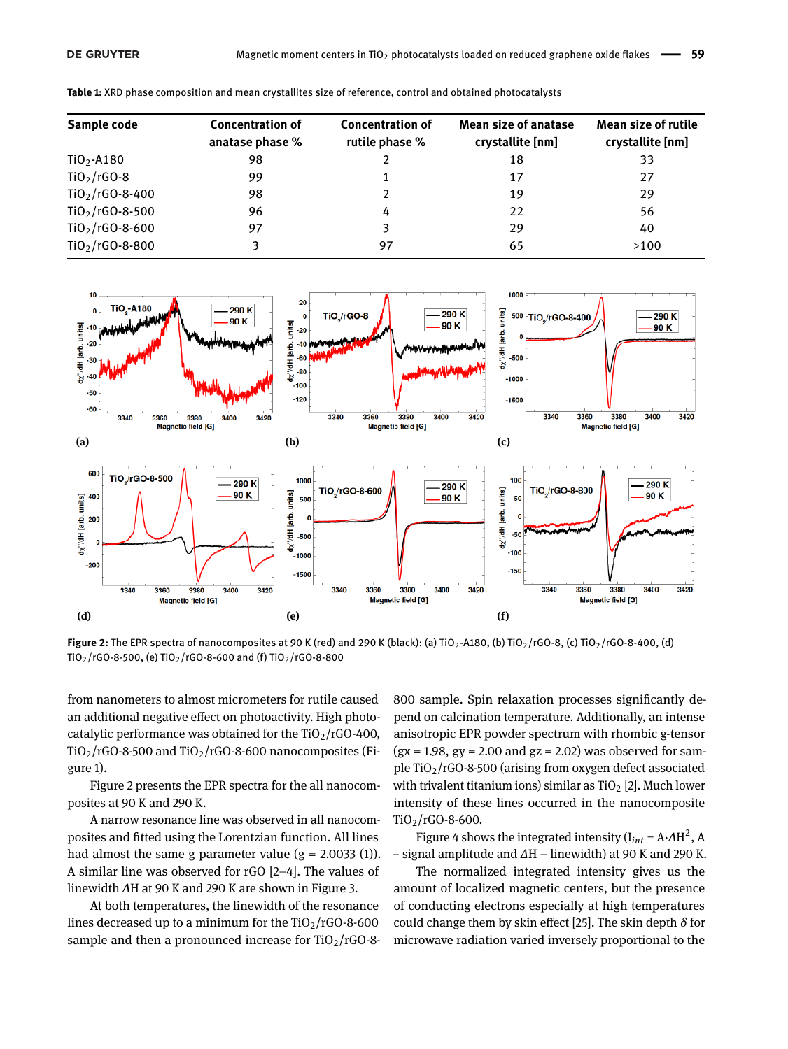| Sample code                 | <b>Concentration of</b><br>anatase phase % | <b>Concentration of</b><br>rutile phase % | <b>Mean size of anatase</b><br>crystallite [nm] | <b>Mean size of rutile</b><br>crystallite [nm] |  |
|-----------------------------|--------------------------------------------|-------------------------------------------|-------------------------------------------------|------------------------------------------------|--|
| Ti0 <sub>2</sub> -A180      | 98                                         |                                           | 18                                              | 33                                             |  |
| $TiO2/rGO-8$                | 99                                         |                                           | 17                                              | 27                                             |  |
| $TiO_{2}/rGO-8-400$         | 98                                         |                                           | 19                                              | 29                                             |  |
| TiO $_2$ /rGO-8-500         | 96                                         | 4                                         | 22                                              | 56                                             |  |
| TiO $_2$ /rGO-8-600         | 97                                         |                                           | 29                                              | 40                                             |  |
| TiO <sub>2</sub> /rGO-8-800 | 3                                          | 97                                        | 65                                              | >100                                           |  |
|                             |                                            |                                           |                                                 |                                                |  |

**Table 1:** XRD phase composition and mean crystallites size of reference, control and obtained photocatalysts



**Figure 2:** The EPR spectra of nanocomposites at 90 K (red) and 290 K (black): (a) TiO<sub>2</sub>-A180, (b) TiO<sub>2</sub>/rGO-8, (c) TiO<sub>2</sub>/rGO-8-400, (d) TiO<sub>2</sub>/rGO-8-500, (e) TiO<sub>2</sub>/rGO-8-600 and (f) TiO<sub>2</sub>/rGO-8-800

from nanometers to almost micrometers for rutile caused an additional negative effect on photoactivity. High photocatalytic performance was obtained for the  $TiO<sub>2</sub>/rGO-400$ ,  $TiO<sub>2</sub>/rGO-8-500$  and  $TiO<sub>2</sub>/rGO-8-600$  nanocomposites (Figure 1).

Figure 2 presents the EPR spectra for the all nanocomposites at 90 K and 290 K.

A narrow resonance line was observed in all nanocomposites and fitted using the Lorentzian function. All lines had almost the same g parameter value  $(g = 2.0033 (1)).$ A similar line was observed for  $rGO$  [2-4]. The values of linewidth *∆*H at 90 K and 290 K are shown in Figure 3.

At both temperatures, the linewidth of the resonance lines decreased up to a minimum for the  $TiO<sub>2</sub>/rGO-8-600$ sample and then a pronounced increase for  $TiO<sub>2</sub>/rGO-8-$ 

800 sample. Spin relaxation processes significantly depend on calcination temperature. Additionally, an intense anisotropic EPR powder spectrum with rhombic g-tensor  $(gx = 1.98, gy = 2.00 \text{ and } gz = 2.02)$  was observed for sample  $TiO<sub>2</sub>/rGO-8-500$  (arising from oxygen defect associated with trivalent titanium ions) similar as  $TiO<sub>2</sub>$  [2]. Much lower intensity of these lines occurred in the nanocomposite TiO2/rGO-8-600.

Figure 4 shows the integrated intensity ( $I_{int} = A \cdot \Delta H^2$ , A - signal amplitude and *∆*H - linewidth) at 90 K and 290 K.

The normalized integrated intensity gives us the amount of localized magnetic centers, but the presence of conducting electrons especially at high temperatures could change them by skin effect [25]. The skin depth *δ* for microwave radiation varied inversely proportional to the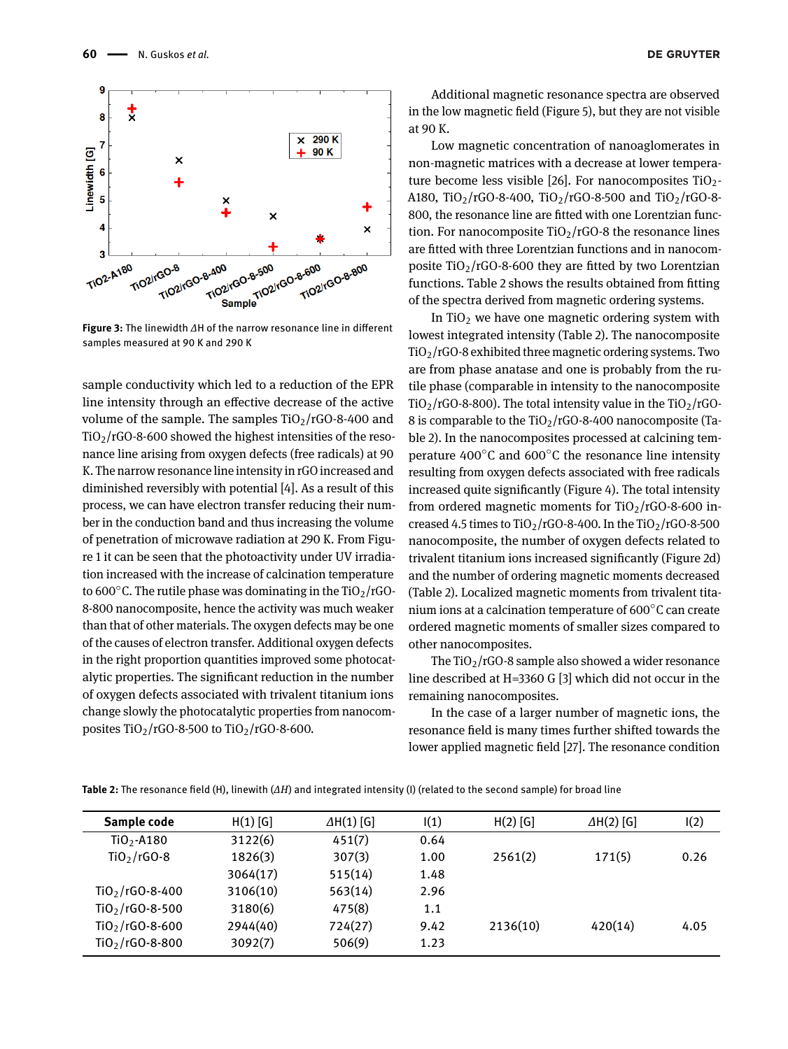

in the low magnetic field (Figure 5), but they are not visible

In TiO<sub>2</sub> we have one magnetic ordering system with lowest integrated intensity (Table 2). The nanocomposite  $TiO<sub>2</sub>/rGO-8$  exhibited three magnetic ordering systems. Two are from phase anatase and one is probably from the rutile phase (comparable in intensity to the nanocomposite  $TiO<sub>2</sub>/rGO-8-800$ ). The total intensity value in the  $TiO<sub>2</sub>/rGO-$ 8 is comparable to the  $TiO<sub>2</sub>/rGO-8-400$  nanocomposite (Table 2). In the nanocomposites processed at calcining temperature 400∘C and 600∘C the resonance line intensity resulting from oxygen defects associated with free radicals increased quite significantly (Figure 4). The total intensity from ordered magnetic moments for  $TiO<sub>2</sub>/rGO-8-600$  increased 4.5 times to  $TiO<sub>2</sub>/rGO-8-400$ . In the  $TiO<sub>2</sub>/rGO-8-500$ nanocomposite, the number of oxygen defects related to trivalent titanium ions increased significantly (Figure 2d) and the number of ordering magnetic moments decreased (Table 2). Localized magnetic moments from trivalent titanium ions at a calcination temperature of 600∘C can create ordered magnetic moments of smaller sizes compared to other nanocomposites.

The  $TiO<sub>2</sub>/rGO-8$  sample also showed a wider resonance line described at H=3360 G [3] which did not occur in the remaining nanocomposites.

In the case of a larger number of magnetic ions, the resonance field is many times further shifted towards the lower applied magnetic field [27]. The resonance condition



**Table 2:** The resonance field (H), linewith (*∆H*) and integrated intensity (I) (related to the second sample) for broad line



**Figure 3:** The linewidth *∆*H of the narrow resonance line in different samples measured at 90 K and 290 K

sample conductivity which led to a reduction of the EPR line intensity through an effective decrease of the active volume of the sample. The samples  $TiO<sub>2</sub>/rGO-8-400$  and  $TiO<sub>2</sub>/rGO-8-600$  showed the highest intensities of the resonance line arising from oxygen defects (free radicals) at 90 K. The narrow resonance line intensity in rGO increased and diminished reversibly with potential [4]. As a result of this process, we can have electron transfer reducing their number in the conduction band and thus increasing the volume of penetration of microwave radiation at 290 K. From Figure 1 it can be seen that the photoactivity under UV irradiation increased with the increase of calcination temperature to 600 $\degree$ C. The rutile phase was dominating in the TiO<sub>2</sub>/rGO-8-800 nanocomposite, hence the activity was much weaker than that of other materials. The oxygen defects may be one of the causes of electron transfer. Additional oxygen defects in the right proportion quantities improved some photocatalytic properties. The significant reduction in the number of oxygen defects associated with trivalent titanium ions change slowly the photocatalytic properties from nanocomposites  $TiO_2/r$ GO-8-500 to  $TiO_2/r$ GO-8-600.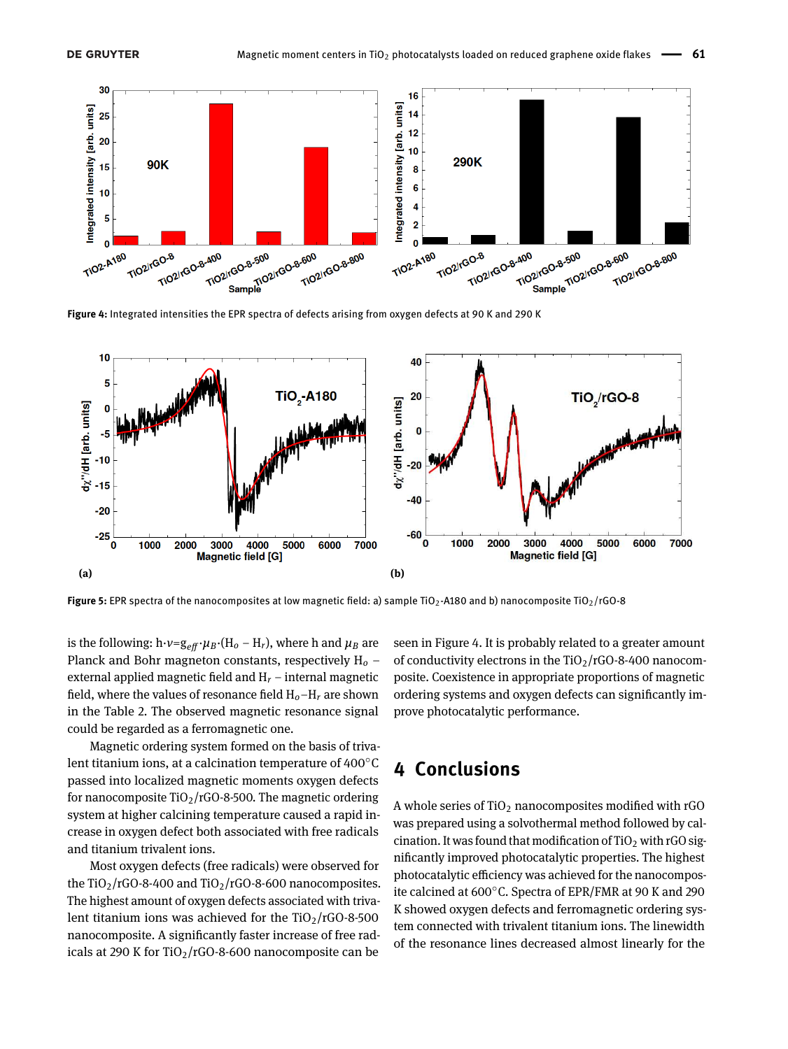

**Figure 4:** Integrated intensities the EPR spectra of defects arising from oxygen defects at 90 K and 290 K



**Figure 5:** EPR spectra of the nanocomposites at low magnetic field: a) sample TiO<sub>2</sub>-A180 and b) nanocomposite TiO<sub>2</sub>/rGO-8

is the following:  $h \cdot v = g_{eff} \cdot \mu_B \cdot (H_o - H_r)$ , where h and  $\mu_B$  are Planck and Bohr magneton constants, respectively  $H_0$  – external applied magnetic field and  $H_r$  – internal magnetic field, where the values of resonance field  $H_0 - H_r$  are shown in the Table 2. The observed magnetic resonance signal could be regarded as a ferromagnetic one.

Magnetic ordering system formed on the basis of trivalent titanium ions, at a calcination temperature of 400∘C passed into localized magnetic moments oxygen defects for nanocomposite  $TiO<sub>2</sub>/rGO-8-500$ . The magnetic ordering system at higher calcining temperature caused a rapid increase in oxygen defect both associated with free radicals and titanium trivalent ions.

Most oxygen defects (free radicals) were observed for the TiO<sub>2</sub>/rGO-8-400 and TiO<sub>2</sub>/rGO-8-600 nanocomposites. The highest amount of oxygen defects associated with trivalent titanium ions was achieved for the  $TiO<sub>2</sub>/rGO-8-500$ nanocomposite. A significantly faster increase of free radicals at 290 K for TiO<sub>2</sub>/rGO-8-600 nanocomposite can be

seen in Figure 4. It is probably related to a greater amount of conductivity electrons in the  $TiO<sub>2</sub>/rGO-8-400$  nanocomposite. Coexistence in appropriate proportions of magnetic ordering systems and oxygen defects can significantly improve photocatalytic performance.

# **4 Conclusions**

A whole series of  $TiO<sub>2</sub>$  nanocomposites modified with rGO was prepared using a solvothermal method followed by calcination. It was found that modification of  $TiO<sub>2</sub>$  with rGO significantly improved photocatalytic properties. The highest photocatalytic efficiency was achieved for the nanocomposite calcined at 600∘C. Spectra of EPR/FMR at 90 K and 290 K showed oxygen defects and ferromagnetic ordering system connected with trivalent titanium ions. The linewidth of the resonance lines decreased almost linearly for the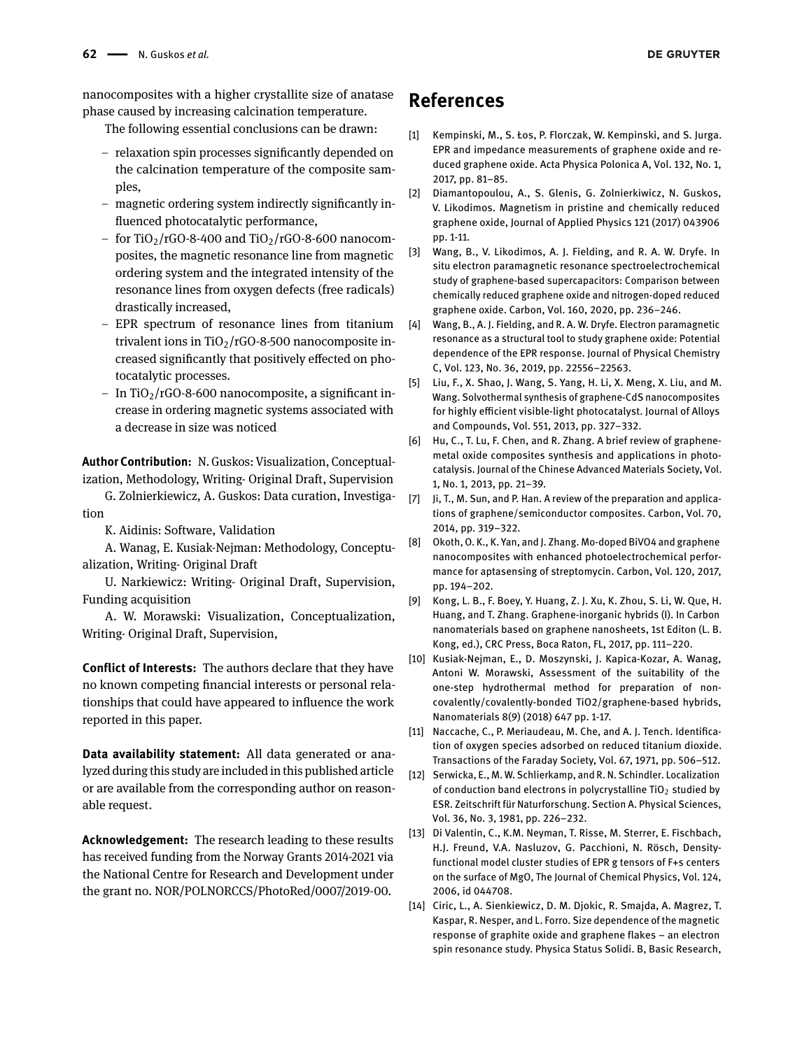nanocomposites with a higher crystallite size of anatase phase caused by increasing calcination temperature.

The following essential conclusions can be drawn:

- relaxation spin processes significantly depended on the calcination temperature of the composite samples,
- $-$  magnetic ordering system indirectly significantly influenced photocatalytic performance,
- for TiO<sub>2</sub>/rGO-8-400 and TiO<sub>2</sub>/rGO-8-600 nanocomposites, the magnetic resonance line from magnetic ordering system and the integrated intensity of the resonance lines from oxygen defects (free radicals) drastically increased,
- EPR spectrum of resonance lines from titanium trivalent ions in  $TiO<sub>2</sub>/rGO-8-500$  nanocomposite increased significantly that positively effected on photocatalytic processes.
- $-$  In TiO<sub>2</sub>/rGO-8-600 nanocomposite, a significant increase in ordering magnetic systems associated with a decrease in size was noticed

**Author Contribution:** N. Guskos: Visualization, Conceptualization, Methodology, Writing- Original Draft, Supervision

G. Zolnierkiewicz, A. Guskos: Data curation, Investigation

K. Aidinis: Software, Validation

A. Wanag, E. Kusiak-Nejman: Methodology, Conceptualization, Writing- Original Draft

U. Narkiewicz: Writing- Original Draft, Supervision, Funding acquisition

A. W. Morawski: Visualization, Conceptualization, Writing- Original Draft, Supervision,

**Conflict of Interests:** The authors declare that they have no known competing financial interests or personal relationships that could have appeared to influence the work reported in this paper.

**Data availability statement:** All data generated or analyzed during this study are included in this published article or are available from the corresponding author on reasonable request.

**Acknowledgement:** The research leading to these results has received funding from the Norway Grants 2014-2021 via the National Centre for Research and Development under the grant no. NOR/POLNORCCS/PhotoRed/0007/2019-00.

## **References**

- [1] Kempinski, M., S. Łos, P. Florczak, W. Kempinski, and S. Jurga. EPR and impedance measurements of graphene oxide and reduced graphene oxide. Acta Physica Polonica A, Vol. 132, No. 1, 2017, pp. 81-85.
- [2] Diamantopoulou, A., S. Glenis, G. Zolnierkiwicz, N. Guskos, V. Likodimos. Magnetism in pristine and chemically reduced graphene oxide, Journal of Applied Physics 121 (2017) 043906 pp. 1-11.
- [3] Wang, B., V. Likodimos, A. J. Fielding, and R. A. W. Dryfe. In situ electron paramagnetic resonance spectroelectrochemical study of graphene-based supercapacitors: Comparison between chemically reduced graphene oxide and nitrogen-doped reduced graphene oxide. Carbon, Vol. 160, 2020, pp. 236-246.
- [4] Wang, B., A. J. Fielding, and R. A. W. Dryfe. Electron paramagnetic resonance as a structural tool to study graphene oxide: Potential dependence of the EPR response. Journal of Physical Chemistry C, Vol. 123, No. 36, 2019, pp. 22556-22563.
- [5] Liu, F., X. Shao, J. Wang, S. Yang, H. Li, X. Meng, X. Liu, and M. Wang. Solvothermal synthesis of graphene-CdS nanocomposites for highly efficient visible-light photocatalyst. Journal of Alloys and Compounds, Vol. 551, 2013, pp. 327-332.
- [6] Hu, C., T. Lu, F. Chen, and R. Zhang. A brief review of graphenemetal oxide composites synthesis and applications in photocatalysis. Journal of the Chinese Advanced Materials Society, Vol. 1, No. 1, 2013, pp. 21-39.
- [7] Ji, T., M. Sun, and P. Han. A review of the preparation and applications of graphene/semiconductor composites. Carbon, Vol. 70, 2014, pp. 319-322.
- [8] Okoth, O. K., K. Yan, and J. Zhang. Mo-doped BiVO4 and graphene nanocomposites with enhanced photoelectrochemical performance for aptasensing of streptomycin. Carbon, Vol. 120, 2017, pp. 194-202.
- [9] Kong, L. B., F. Boey, Y. Huang, Z. J. Xu, K. Zhou, S. Li, W. Que, H. Huang, and T. Zhang. Graphene-inorganic hybrids (I). In Carbon nanomaterials based on graphene nanosheets, 1st Editon (L. B. Kong, ed.), CRC Press, Boca Raton, FL, 2017, pp. 111-220.
- [10] Kusiak-Nejman, E., D. Moszynski, J. Kapica-Kozar, A. Wanag, Antoni W. Morawski, Assessment of the suitability of the one-step hydrothermal method for preparation of noncovalently/covalently-bonded TiO2/graphene-based hybrids, Nanomaterials 8(9) (2018) 647 pp. 1-17.
- [11] Naccache, C., P. Meriaudeau, M. Che, and A. J. Tench. Identification of oxygen species adsorbed on reduced titanium dioxide. Transactions of the Faraday Society, Vol. 67, 1971, pp. 506-512.
- [12] Serwicka, E., M. W. Schlierkamp, and R. N. Schindler. Localization of conduction band electrons in polycrystalline TiO<sub>2</sub> studied by ESR. Zeitschrift für Naturforschung. Section A. Physical Sciences, Vol. 36, No. 3, 1981, pp. 226-232.
- [13] Di Valentin, C., K.M. Neyman, T. Risse, M. Sterrer, E. Fischbach, H.J. Freund, V.A. Nasluzov, G. Pacchioni, N. Rösch, Densityfunctional model cluster studies of EPR g tensors of F+s centers on the surface of MgO, The Journal of Chemical Physics, Vol. 124, 2006, id 044708.
- [14] Ciric, L., A. Sienkiewicz, D. M. Djokic, R. Smajda, A. Magrez, T. Kaspar, R. Nesper, and L. Forro. Size dependence of the magnetic response of graphite oxide and graphene flakes - an electron spin resonance study. Physica Status Solidi. B, Basic Research,